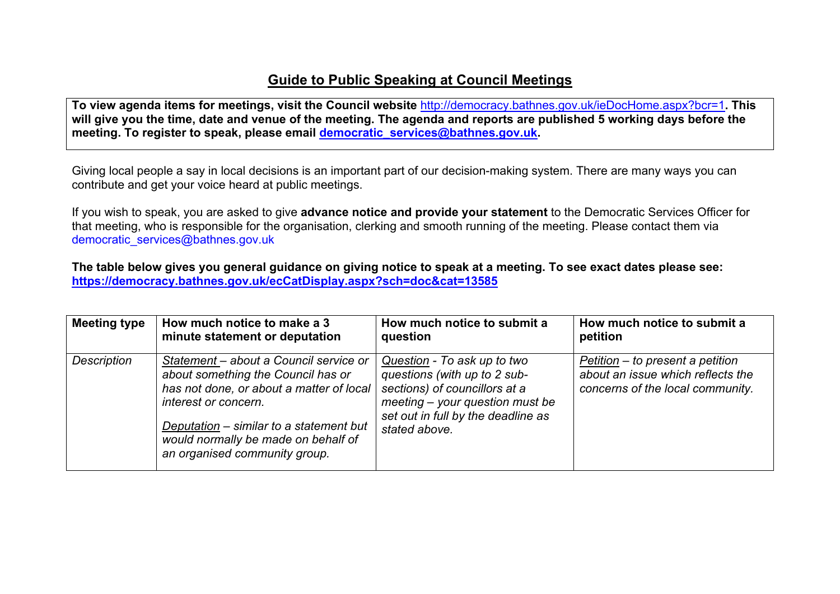## **Guide to Public Speaking at Council Meetings**

**To view agenda items for meetings, visit the Council website** <http://democracy.bathnes.gov.uk/ieDocHome.aspx?bcr=1>**. This** will give you the time, date and venue of the meeting. The agenda and reports are published 5 working days before the **meeting. To register to speak, please email [democratic\\_services@bathnes.gov.uk.](mailto:democratic_services@bathnes.gov.uk)**

Giving local people a say in local decisions is an important part of our decision-making system. There are many ways you can contribute and get your voice heard at public meetings.

If you wish to speak, you are asked to give **advance notice and provide your statement** to the Democratic Services Officer for that meeting, who is responsible for the organisation, clerking and smooth running of the meeting. Please contact them via democratic\_services@bathnes.gov.uk

The table below gives you general guidance on giving notice to speak at a meeting. To see exact dates please see: **<https://democracy.bathnes.gov.uk/ecCatDisplay.aspx?sch=doc&cat=13585>**

| <b>Meeting type</b> | How much notice to make a 3                                                                                                                                                                                                                                         | How much notice to submit a                                                                                                                                                              | How much notice to submit a                                                                               |
|---------------------|---------------------------------------------------------------------------------------------------------------------------------------------------------------------------------------------------------------------------------------------------------------------|------------------------------------------------------------------------------------------------------------------------------------------------------------------------------------------|-----------------------------------------------------------------------------------------------------------|
|                     | minute statement or deputation                                                                                                                                                                                                                                      | question                                                                                                                                                                                 | petition                                                                                                  |
| Description         | Statement – about a Council service or<br>about something the Council has or<br>has not done, or about a matter of local<br>interest or concern.<br>Deputation – similar to a statement but<br>would normally be made on behalf of<br>an organised community group. | Question - To ask up to two<br>questions (with up to 2 sub-<br>sections) of councillors at a<br>$meeting - your question must be$<br>set out in full by the deadline as<br>stated above. | Petition – to present a petition<br>about an issue which reflects the<br>concerns of the local community. |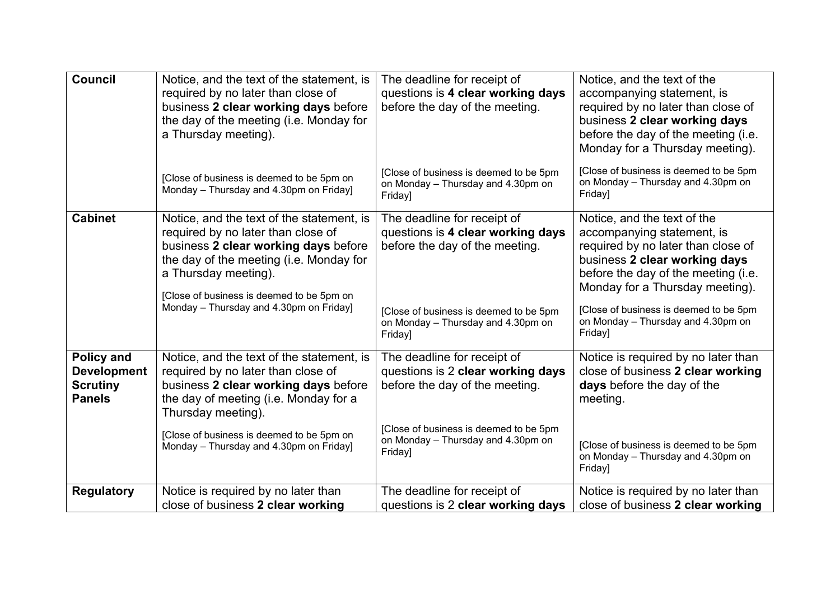| <b>Council</b>                                                              | Notice, and the text of the statement, is<br>required by no later than close of<br>business 2 clear working days before<br>the day of the meeting (i.e. Monday for<br>a Thursday meeting).<br>[Close of business is deemed to be 5pm on<br>Monday - Thursday and 4.30pm on Friday] | The deadline for receipt of<br>questions is 4 clear working days<br>before the day of the meeting.<br>[Close of business is deemed to be 5pm<br>on Monday - Thursday and 4.30pm on<br>Friday] | Notice, and the text of the<br>accompanying statement, is<br>required by no later than close of<br>business 2 clear working days<br>before the day of the meeting (i.e.<br>Monday for a Thursday meeting).<br>[Close of business is deemed to be 5pm<br>on Monday - Thursday and 4.30pm on<br>Friday] |
|-----------------------------------------------------------------------------|------------------------------------------------------------------------------------------------------------------------------------------------------------------------------------------------------------------------------------------------------------------------------------|-----------------------------------------------------------------------------------------------------------------------------------------------------------------------------------------------|-------------------------------------------------------------------------------------------------------------------------------------------------------------------------------------------------------------------------------------------------------------------------------------------------------|
| <b>Cabinet</b>                                                              | Notice, and the text of the statement, is<br>required by no later than close of<br>business 2 clear working days before<br>the day of the meeting (i.e. Monday for<br>a Thursday meeting).<br>[Close of business is deemed to be 5pm on<br>Monday - Thursday and 4.30pm on Friday] | The deadline for receipt of<br>questions is 4 clear working days<br>before the day of the meeting.<br>[Close of business is deemed to be 5pm<br>on Monday - Thursday and 4.30pm on<br>Friday] | Notice, and the text of the<br>accompanying statement, is<br>required by no later than close of<br>business 2 clear working days<br>before the day of the meeting (i.e.<br>Monday for a Thursday meeting).<br>[Close of business is deemed to be 5pm<br>on Monday - Thursday and 4.30pm on<br>Friday] |
| <b>Policy and</b><br><b>Development</b><br><b>Scrutiny</b><br><b>Panels</b> | Notice, and the text of the statement, is<br>required by no later than close of<br>business 2 clear working days before<br>the day of meeting (i.e. Monday for a<br>Thursday meeting).<br>[Close of business is deemed to be 5pm on<br>Monday - Thursday and 4.30pm on Friday]     | The deadline for receipt of<br>questions is 2 clear working days<br>before the day of the meeting.<br>[Close of business is deemed to be 5pm<br>on Monday - Thursday and 4.30pm on<br>Friday] | Notice is required by no later than<br>close of business 2 clear working<br>days before the day of the<br>meeting.<br>[Close of business is deemed to be 5pm<br>on Monday - Thursday and 4.30pm on<br>Friday]                                                                                         |
| <b>Regulatory</b>                                                           | Notice is required by no later than<br>close of business 2 clear working                                                                                                                                                                                                           | The deadline for receipt of<br>questions is 2 clear working days                                                                                                                              | Notice is required by no later than<br>close of business 2 clear working                                                                                                                                                                                                                              |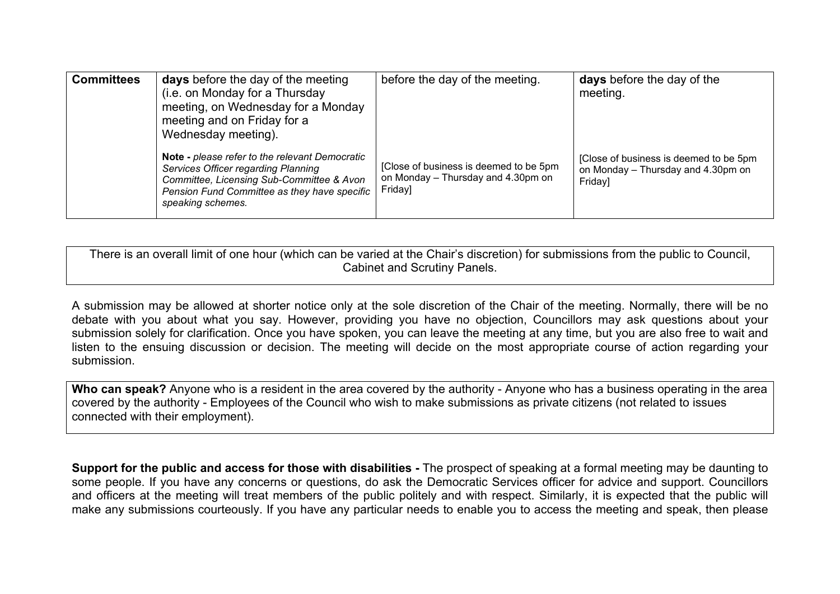| <b>Committees</b> | <b>days</b> before the day of the meeting<br>(i.e. on Monday for a Thursday<br>meeting, on Wednesday for a Monday<br>meeting and on Friday for a<br>Wednesday meeting).                                 | before the day of the meeting.                                                          | days before the day of the<br>meeting.                                                  |
|-------------------|---------------------------------------------------------------------------------------------------------------------------------------------------------------------------------------------------------|-----------------------------------------------------------------------------------------|-----------------------------------------------------------------------------------------|
|                   | Note - please refer to the relevant Democratic<br>Services Officer regarding Planning<br>Committee, Licensing Sub-Committee & Avon<br>Pension Fund Committee as they have specific<br>speaking schemes. | [Close of business is deemed to be 5pm<br>on Monday - Thursday and 4.30pm on<br>Friday] | [Close of business is deemed to be 5pm<br>on Monday - Thursday and 4.30pm on<br>Friday] |

There is an overall limit of one hour (which can be varied at the Chair's discretion) for submissions from the public to Council, Cabinet and Scrutiny Panels.

A submission may be allowed at shorter notice only at the sole discretion of the Chair of the meeting. Normally, there will be no debate with you about what you say. However, providing you have no objection, Councillors may ask questions about your submission solely for clarification. Once you have spoken, you can leave the meeting at any time, but you are also free to wait and listen to the ensuing discussion or decision. The meeting will decide on the most appropriate course of action regarding your submission.

**Who can speak?** Anyone who is a resident in the area covered by the authority - Anyone who has a business operating in the area covered by the authority - Employees of the Council who wish to make submissions as private citizens (not related to issues connected with their employment).

**Support for the public and access for those with disabilities -** The prospect of speaking at a formal meeting may be daunting to some people. If you have any concerns or questions, do ask the Democratic Services officer for advice and support. Councillors and officers at the meeting will treat members of the public politely and with respect. Similarly, it is expected that the public will make any submissions courteously. If you have any particular needs to enable you to access the meeting and speak, then please